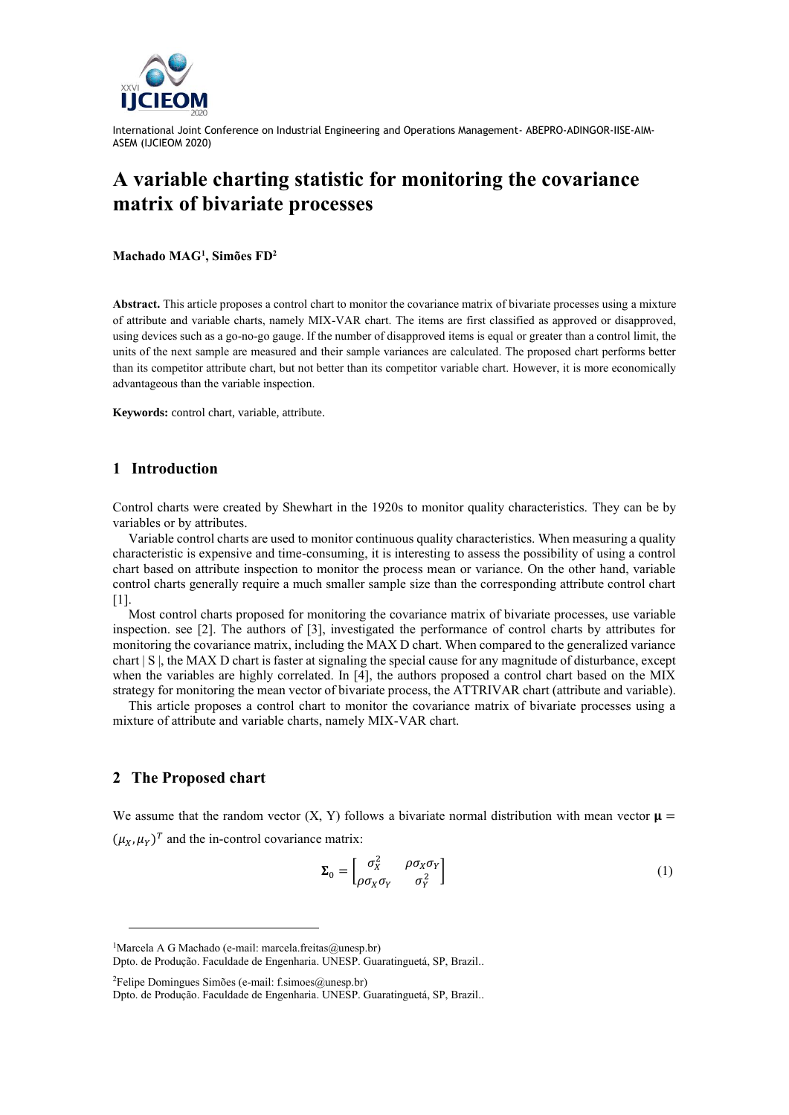

# **A variable charting statistic for monitoring the covariance matrix of bivariate processes**

**Machado MAG<sup>1</sup> , Simões FD<sup>2</sup>**

**Abstract.** This article proposes a control chart to monitor the covariance matrix of bivariate processes using a mixture of attribute and variable charts, namely MIX-VAR chart. The items are first classified as approved or disapproved, using devices such as a go-no-go gauge. If the number of disapproved items is equal or greater than a control limit, the units of the next sample are measured and their sample variances are calculated. The proposed chart performs better than its competitor attribute chart, but not better than its competitor variable chart. However, it is more economically advantageous than the variable inspection.

**Keywords:** control chart, variable, attribute.

### **1 Introduction**

Control charts were created by Shewhart in the 1920s to monitor quality characteristics. They can be by variables or by attributes.

Variable control charts are used to monitor continuous quality characteristics. When measuring a quality characteristic is expensive and time-consuming, it is interesting to assess the possibility of using a control chart based on attribute inspection to monitor the process mean or variance. On the other hand, variable control charts generally require a much smaller sample size than the corresponding attribute control chart [1].

Most control charts proposed for monitoring the covariance matrix of bivariate processes, use variable inspection. see [2]. The authors of [3], investigated the performance of control charts by attributes for monitoring the covariance matrix, including the MAX D chart. When compared to the generalized variance chart | S |, the MAX D chart is faster at signaling the special cause for any magnitude of disturbance, except when the variables are highly correlated. In [4], the authors proposed a control chart based on the MIX strategy for monitoring the mean vector of bivariate process, the ATTRIVAR chart (attribute and variable).

This article proposes a control chart to monitor the covariance matrix of bivariate processes using a mixture of attribute and variable charts, namely MIX-VAR chart.

#### **2 The Proposed chart**

We assume that the random vector (X, Y) follows a bivariate normal distribution with mean vector  $\mu$  =  $(\mu_X, \mu_Y)^T$  and the in-control covariance matrix:

$$
\Sigma_0 = \begin{bmatrix} \sigma_X^2 & \rho \sigma_X \sigma_Y \\ \rho \sigma_X \sigma_Y & \sigma_Y^2 \end{bmatrix}
$$
 (1)

 ${}^{2}$ Felipe Domingues Simões (e-mail: f.simoes@unesp.br)

<sup>&</sup>lt;sup>1</sup>Marcela A G Machado (e-mail: marcela.freitas@unesp.br)

Dpto. de Produção. Faculdade de Engenharia. UNESP. Guaratinguetá, SP, Brazil..

Dpto. de Produção. Faculdade de Engenharia. UNESP. Guaratinguetá, SP, Brazil..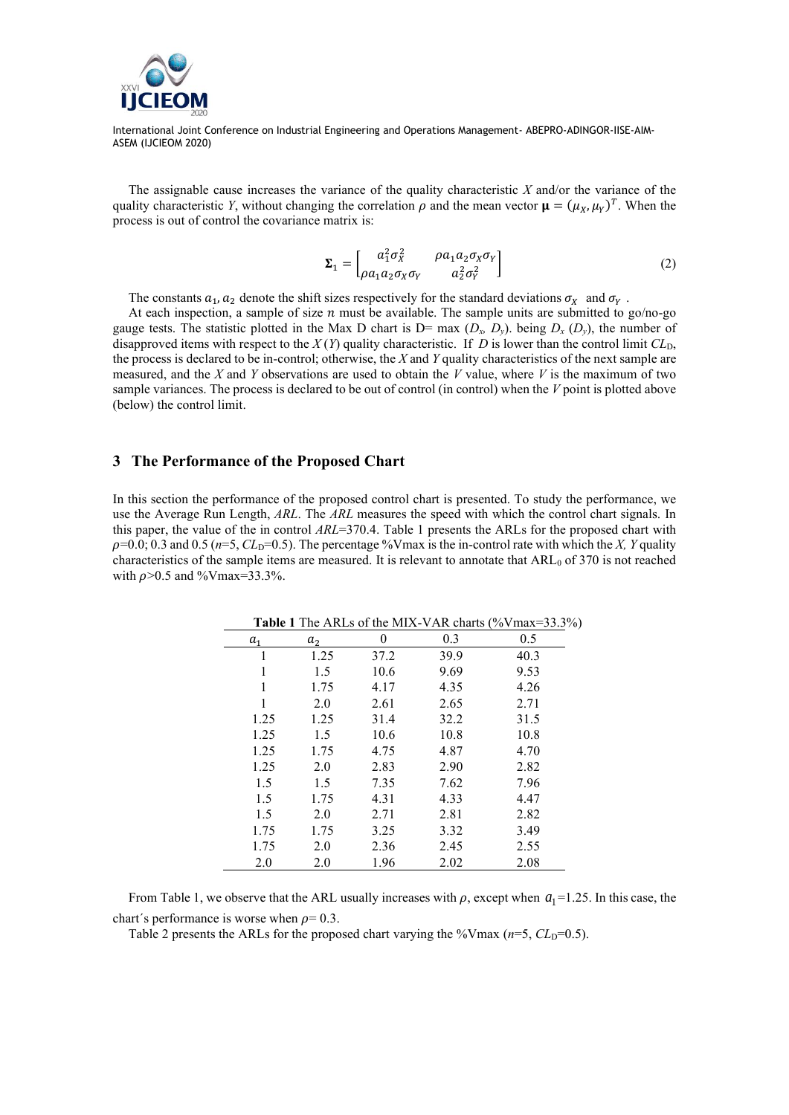

The assignable cause increases the variance of the quality characteristic *X* and/or the variance of the quality characteristic *Y*, without changing the correlation  $\rho$  and the mean vector  $\mu = (\mu_X, \mu_Y)^T$ . When the process is out of control the covariance matrix is:

$$
\Sigma_1 = \begin{bmatrix} a_1^2 \sigma_X^2 & \rho a_1 a_2 \sigma_X \sigma_Y \\ \rho a_1 a_2 \sigma_X \sigma_Y & a_2^2 \sigma_Y^2 \end{bmatrix} \tag{2}
$$

The constants  $a_1$ ,  $a_2$  denote the shift sizes respectively for the standard deviations  $\sigma_X$  and  $\sigma_Y$ .

At each inspection, a sample of size  $n$  must be available. The sample units are submitted to go/no-go gauge tests. The statistic plotted in the Max D chart is D= max  $(D_x, D_y)$ . being  $D_x (D_y)$ , the number of disapproved items with respect to the  $X(Y)$  quality characteristic. If  $D$  is lower than the control limit  $CL_D$ , the process is declared to be in-control; otherwise, the *X* and *Y* quality characteristics of the next sample are measured, and the *X* and *Y* observations are used to obtain the *V* value, where *V* is the maximum of two sample variances. The process is declared to be out of control (in control) when the *V* point is plotted above (below) the control limit.

## **3 The Performance of the Proposed Chart**

In this section the performance of the proposed control chart is presented. To study the performance, we use the Average Run Length, *ARL*. The *ARL* measures the speed with which the control chart signals. In this paper, the value of the in control *ARL*=370.4. Table 1 presents the ARLs for the proposed chart with  $\rho$ =0.0; 0.3 and 0.5 ( $n=5$ ,  $CL_D$ =0.5). The percentage %Vmax is the in-control rate with which the *X*, *Y* quality characteristics of the sample items are measured. It is relevant to annotate that  $ARL<sub>0</sub>$  of 370 is not reached with  $\rho > 0.5$  and %Vmax=33.3%.

| $a_1$ | $a_2$ | $\theta$ | 0.3  | 0.5  |
|-------|-------|----------|------|------|
| 1     | 1.25  | 37.2     | 39.9 | 40.3 |
| 1     | 1.5   | 10.6     | 9.69 | 9.53 |
| 1     | 1.75  | 4.17     | 4.35 | 4.26 |
|       | 2.0   | 2.61     | 2.65 | 2.71 |
| 1.25  | 1.25  | 31.4     | 32.2 | 31.5 |
| 1.25  | 1.5   | 10.6     | 10.8 | 10.8 |
| 1.25  | 1.75  | 4.75     | 4.87 | 4.70 |
| 1.25  | 2.0   | 2.83     | 2.90 | 2.82 |
| 1.5   | 1.5   | 7.35     | 7.62 | 7.96 |
| 1.5   | 1.75  | 4.31     | 4.33 | 4.47 |
| 1.5   | 2.0   | 2.71     | 2.81 | 2.82 |
| 1.75  | 1.75  | 3.25     | 3.32 | 3.49 |
| 1.75  | 2.0   | 2.36     | 2.45 | 2.55 |
| 2.0   | 2.0   | 1.96     | 2.02 | 2.08 |

**Table 1** The ARLs of the MIX-VAR charts (%Vmax=33.3%)

From Table 1, we observe that the ARL usually increases with  $\rho$ , except when  $a_1 = 1.25$ . In this case, the chart's performance is worse when  $\rho = 0.3$ .

Table 2 presents the ARLs for the proposed chart varying the %Vmax  $(n=5, CL_D=0.5)$ .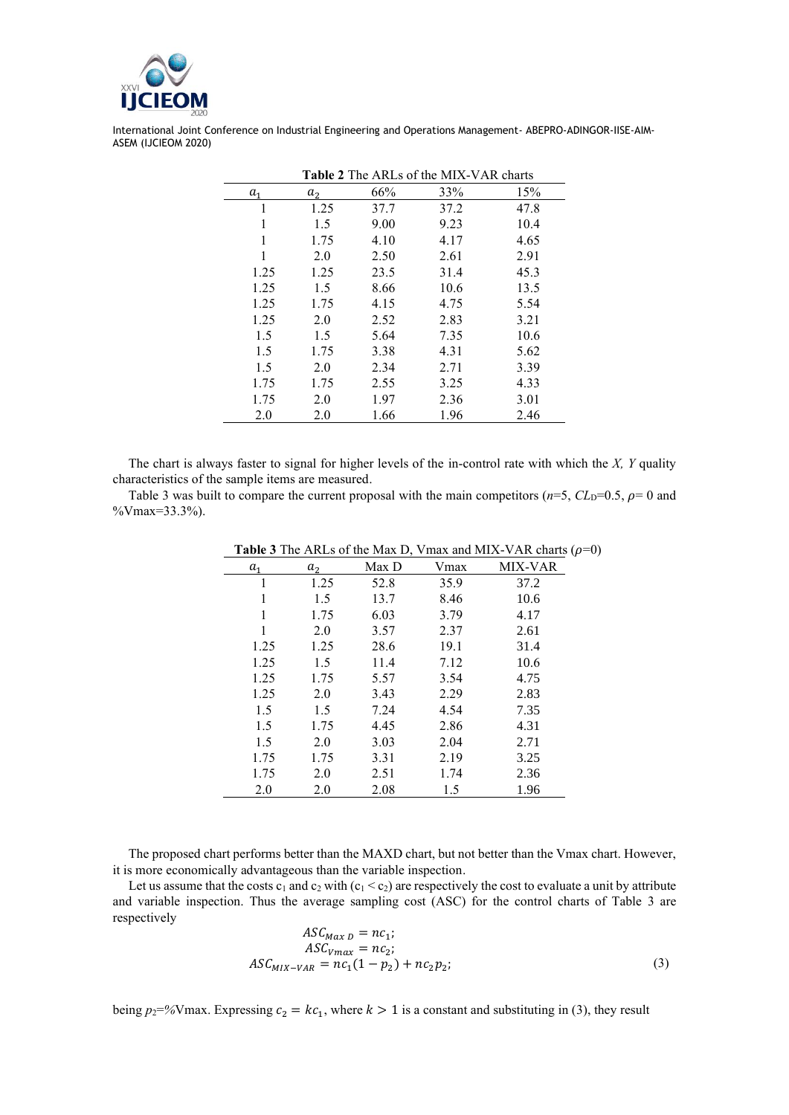

|         |                |      | <b>Table 2</b> The ARLs of the MIX-VAR charts |      |
|---------|----------------|------|-----------------------------------------------|------|
| $a_{1}$ | a <sub>2</sub> | 66%  | 33%                                           | 15%  |
|         | 1.25           | 37.7 | 37.2                                          | 47.8 |
| 1       | 1.5            | 9.00 | 9.23                                          | 10.4 |
| 1       | 1.75           | 4.10 | 4.17                                          | 4.65 |
| 1       | 2.0            | 2.50 | 2.61                                          | 2.91 |
| 1.25    | 1.25           | 23.5 | 31.4                                          | 45.3 |
| 1.25    | 1.5            | 8.66 | 10.6                                          | 13.5 |
| 1.25    | 1.75           | 4.15 | 4.75                                          | 5.54 |
| 1.25    | 2.0            | 2.52 | 2.83                                          | 3.21 |
| 1.5     | 1.5            | 5.64 | 7.35                                          | 10.6 |
| 1.5     | 1.75           | 3.38 | 4.31                                          | 5.62 |
| 1.5     | 2.0            | 2.34 | 2.71                                          | 3.39 |
| 1.75    | 1.75           | 2.55 | 3.25                                          | 4.33 |
| 1.75    | 2.0            | 1.97 | 2.36                                          | 3.01 |
| 2.0     | 2.0            | 1.66 | 1.96                                          | 2.46 |

The chart is always faster to signal for higher levels of the in-control rate with which the *X, Y* quality characteristics of the sample items are measured.

Table 3 was built to compare the current proposal with the main competitors ( $n=5$ ,  $CL_D=0.5$ ,  $\rho=0$  and %Vmax=33.3%).

| $a_{1}$ | a <sub>2</sub> | Max D | Vmax | <b>MIX-VAR</b> |
|---------|----------------|-------|------|----------------|
| 1       | 1.25           | 52.8  | 35.9 | 37.2           |
| 1       | 1.5            | 13.7  | 8.46 | 10.6           |
| 1       | 1.75           | 6.03  | 3.79 | 4.17           |
| 1       | 2.0            | 3.57  | 2.37 | 2.61           |
| 1.25    | 1.25           | 28.6  | 19.1 | 31.4           |
| 1.25    | 1.5            | 11.4  | 7.12 | 10.6           |
| 1.25    | 1.75           | 5.57  | 3.54 | 4.75           |
| 1.25    | 2.0            | 3.43  | 2.29 | 2.83           |
| 1.5     | 1.5            | 7.24  | 4.54 | 7.35           |
| 1.5     | 1.75           | 4.45  | 2.86 | 4.31           |
| 1.5     | 2.0            | 3.03  | 2.04 | 2.71           |
| 1.75    | 1.75           | 3.31  | 2.19 | 3.25           |
| 1.75    | 2.0            | 2.51  | 1.74 | 2.36           |
| 2.0     | 2.0            | 2.08  | 1.5  | 1.96           |

**Table 3** The ARLs of the Max D, Vmax and MIX-VAR charts  $(\rho=0)$ 

The proposed chart performs better than the MAXD chart, but not better than the Vmax chart. However, it is more economically advantageous than the variable inspection.

Let us assume that the costs  $c_1$  and  $c_2$  with  $(c_1 < c_2)$  are respectively the cost to evaluate a unit by attribute and variable inspection. Thus the average sampling cost (ASC) for the control charts of Table 3 are respectively

$$
ASC_{Max\ D} = nc_1; ASC_{Vmax} = nc_2; ASC_{MIX-VAR} = nc_1(1 - p_2) + nc_2p_2; \tag{3}
$$

being  $p_2$ =%Vmax. Expressing  $c_2 = kc_1$ , where  $k > 1$  is a constant and substituting in (3), they result